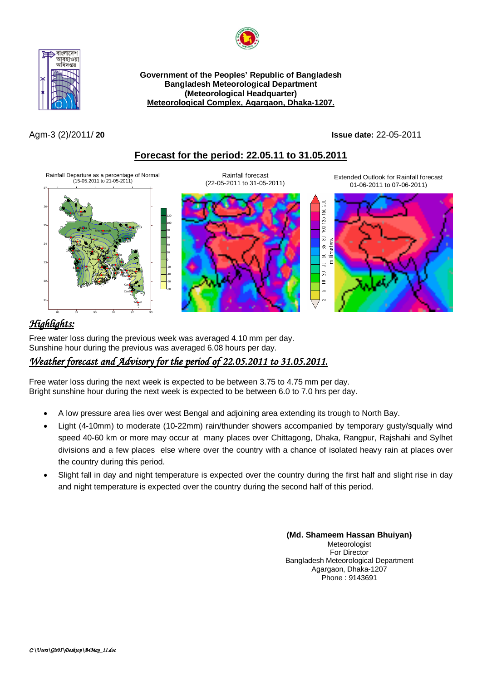



**Government of the Peoples' Republic of Bangladesh Bangladesh Meteorological Department (Meteorological Headquarter) Meteorological Complex, Agargaon, Dhaka-1207.**

Agm-3 (2)/2011/ **20 Issue date:** 22-05-2011

## **Forecast for the period: 22.05.11 to 31.05.2011**



# *Highlights:*

Free water loss during the previous week was averaged 4.10 mm per day. Sunshine hour during the previous was averaged 6.08 hours per day.

# *Weather forecast and Advisory for the period of 22.05.2011 to 31.05.2011.*

Free water loss during the next week is expected to be between 3.75 to 4.75 mm per day. Bright sunshine hour during the next week is expected to be between 6.0 to 7.0 hrs per day.

- A low pressure area lies over west Bengal and adjoining area extending its trough to North Bay.
- Light (4-10mm) to moderate (10-22mm) rain/thunder showers accompanied by temporary gusty/squally wind speed 40-60 km or more may occur at many places over Chittagong, Dhaka, Rangpur, Rajshahi and Sylhet divisions and a few places else where over the country with a chance of isolated heavy rain at places over the country during this period.
- Slight fall in day and night temperature is expected over the country during the first half and slight rise in day and night temperature is expected over the country during the second half of this period.

**(Md. Shameem Hassan Bhuiyan)** Meteorologist For Director Bangladesh Meteorological Department Agargaon, Dhaka-1207 Phone : 9143691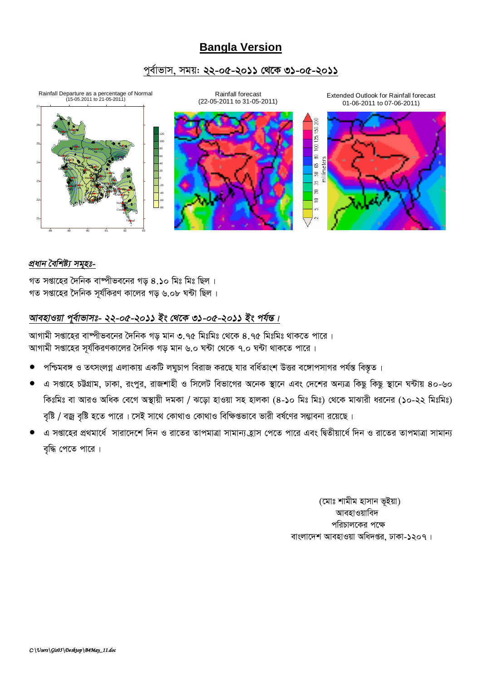# **Bangla Version**

### পূর্বাভাস, সময়: ২২-০৫-২০১১ থেকে ৩১-০৫-২০১১



#### প্ৰধান বৈশিষ্ট্য সমহঃ-

গত সপ্তাহের দৈনিক বাষ্পীভবনের গড় ৪.১০ মিঃ মিঃ ছিল । গত সপ্তাহের দৈনিক সূর্যকিরণ কালের গড় ৬.০৮ ঘন্টা ছিল।

## আবহাওয়া পুর্বাভাসঃ- ২২-০৫-২০১১ ইং থেকে ৩১-০৫-২০১১ ইং পর্যন্ত।

আগামী সপ্তাহের বাষ্পীভবনের দৈনিক গড মান ৩.৭৫ মিঃমিঃ থেকে ৪.৭৫ মিঃমিঃ থাকতে পারে। আগামী সপ্তাহের সূর্যকিরণকালের দৈনিক গড় মান ৬.০ ঘন্টা থেকে ৭.০ ঘন্টা থাকতে পারে।

- পশ্চিমবঙ্গ ও তৎসংলগ্ন এলাকায় একটি লঘুচাপ বিরাজ করছে যার বর্ধিতাংশ উত্তর বঙ্গোপসাগর পর্যন্ত বিস্তত।
- এ সপ্তাহে চট্টগ্রাম, ঢাকা, রংপুর, রাজশাহী ও সিলেট বিভাগের অনেক স্থানে এবং দেশের অন্যত্র কিছু কিছু স্থানে ঘন্টায় ৪০-৬০ কিঃমিঃ বা আরও অধিক বেগে অস্থায়ী দমকা / ঝড়ো হাওয়া সহ হালকা (৪-১০ মিঃ মিঃ) থেকে মাঝারী ধরনের (১০-২২ মিঃমিঃ) বৃষ্টি / বজ্র বৃষ্টি হতে পারে। সেই সাথে কোথাও কোথাও বিক্ষিগুভাবে ভারী বর্ষণের সম্ভাবনা রয়েছে।
- এ সপ্তাহের প্রথমার্ধে সারাদেশে দিন ও রাতের তাপমাত্রা সামান্য হ্রাস পেতে পারে এবং দ্বিতীয়ার্ধে দিন ও রাতের তাপমাত্রা সামান্য বৃদ্ধি পেতে পারে।

(মোঃ শামীম হাসান ভূইয়া) আবহাওয়াবিদ পরিচালকের পক্ষে বাংলাদেশ আবহাওয়া অধিদপ্তর, ঢাকা-১২০৭।